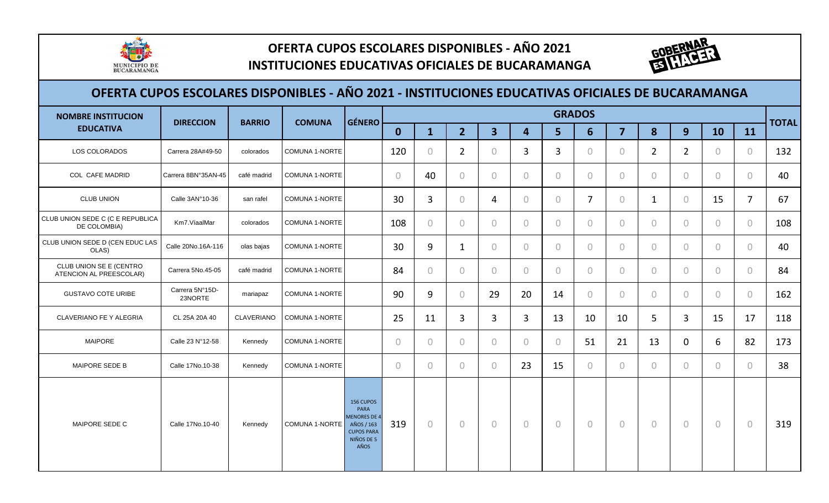

# **OFERTA CUPOS ESCOLARES DISPONIBLES - AÑO 2021**

#### **INSTITUCIONES EDUCATIVAS OFICIALES DE BUCARAMANGA**



| <b>NOMBRE INSTITUCION</b>                          | <b>DIRECCION</b><br><b>BARRIO</b> | <b>COMUNA</b>     | <b>GÉNERO</b>         |                                                                                                   |                |                |                |                |                         | <b>GRADOS</b>  |                  |                |                |                |                | <b>TOTAL</b>   |     |
|----------------------------------------------------|-----------------------------------|-------------------|-----------------------|---------------------------------------------------------------------------------------------------|----------------|----------------|----------------|----------------|-------------------------|----------------|------------------|----------------|----------------|----------------|----------------|----------------|-----|
| <b>EDUCATIVA</b>                                   |                                   |                   |                       |                                                                                                   | $\mathbf{0}$   | $\mathbf{1}$   | 2 <sup>1</sup> | $\overline{3}$ | $\overline{\mathbf{4}}$ | 5 <sup>1</sup> | $6 \overline{6}$ | $\overline{7}$ | 8              | 9              | 10             | 11             |     |
| LOS COLORADOS                                      | Carrera 28A#49-50                 | colorados         | <b>COMUNA 1-NORTE</b> |                                                                                                   | 120            | $\overline{0}$ | $\overline{2}$ | $\overline{0}$ | 3                       | 3              | $\circ$          | $\circ$        | $\overline{2}$ | $\overline{2}$ | $\mathbf{0}$   | $\overline{0}$ | 132 |
| <b>COL CAFE MADRID</b>                             | Carrera 8BN°35AN-45               | café madrid       | <b>COMUNA 1-NORTE</b> |                                                                                                   | $\overline{0}$ | 40             | $\circ$        | $\overline{0}$ | $\Omega$                | $\circ$        | $\circ$          | $\circ$        | $\overline{0}$ | $\circ$        | $\circ$        | $\overline{0}$ | 40  |
| <b>CLUB UNION</b>                                  | Calle 3AN°10-36                   | san rafel         | <b>COMUNA 1-NORTE</b> |                                                                                                   | 30             | 3              | $\overline{0}$ | 4              | $\bigcap$               | $\overline{0}$ | $\overline{7}$   | $\circ$        | $\mathbf{1}$   | $\overline{0}$ | 15             | $\overline{7}$ | 67  |
| CLUB UNION SEDE C (C E REPUBLICA<br>DE COLOMBIA)   | Km7.VíaalMar                      | colorados         | <b>COMUNA 1-NORTE</b> |                                                                                                   | 108            | $\circ$        | $\circ$        | $\overline{0}$ | $\bigcap$               | $\overline{0}$ | $\circ$          | $\circ$        | $\overline{0}$ | $\overline{0}$ | $\mathbf{0}$   | $\overline{0}$ | 108 |
| CLUB UNION SEDE D (CEN EDUC LAS<br>OLAS)           | Calle 20No.16A-116                | olas bajas        | <b>COMUNA 1-NORTE</b> |                                                                                                   | 30             | 9              | 1              | $\overline{0}$ | $\bigcap$               | $\circ$        | $\circ$          | $\circ$        | $\overline{0}$ | $\circ$        | $\circ$        | $\overline{0}$ | 40  |
| CLUB UNION SE E (CENTRO<br>ATENCION AL PREESCOLAR) | Carrera 5No.45-05                 | café madrid       | COMUNA 1-NORTE        |                                                                                                   | 84             | $\circ$        | $\circ$        | $\circ$        | $\circ$                 | $\overline{0}$ | $\overline{0}$   | $\circ$        | $\overline{0}$ | $\overline{0}$ | $\circ$        | $\circ$        | 84  |
| <b>GUSTAVO COTE URIBE</b>                          | Carrera 5N°15D-<br>23NORTE        | mariapaz          | COMUNA 1-NORTE        |                                                                                                   | 90             | 9              | $\overline{0}$ | 29             | 20                      | 14             | $\circ$          | $\overline{0}$ | $\overline{0}$ | $\overline{0}$ | $\overline{0}$ | $\overline{0}$ | 162 |
| <b>CLAVERIANO FE Y ALEGRIA</b>                     | CL 25A 20A 40                     | <b>CLAVERIANO</b> | <b>COMUNA 1-NORTE</b> |                                                                                                   | 25             | 11             | 3              | 3              | 3                       | 13             | 10               | 10             | 5              | 3              | 15             | 17             | 118 |
| <b>MAIPORE</b>                                     | Calle 23 N°12-58                  | Kennedy           | <b>COMUNA 1-NORTE</b> |                                                                                                   | $\bigcap$      | $\overline{0}$ | $\overline{0}$ | $\overline{0}$ | $\bigcap$               | $\overline{0}$ | 51               | 21             | 13             | $\mathbf 0$    | 6              | 82             | 173 |
| MAIPORE SEDE B                                     | Calle 17No.10-38                  | Kennedy           | <b>COMUNA 1-NORTE</b> |                                                                                                   | $\bigcap$      | $\overline{0}$ | $\overline{0}$ | $\overline{0}$ | 23                      | 15             | $\overline{0}$   | $\overline{0}$ | $\bigcap$      | $\overline{0}$ | $\overline{0}$ | $\Omega$       | 38  |
| MAIPORE SEDE C                                     | Calle 17No.10-40                  | Kennedy           | COMUNA 1-NORTE        | 156 CUPOS<br>PARA<br><b>MENORES DE 4</b><br>AÑOS / 163<br><b>CUPOS PARA</b><br>NIÑOS DE 5<br>AÑOS | 319            | $\circ$        | $\circ$        | $\circ$        | $\bigcap$               | $\overline{0}$ | $\circ$          | $\overline{0}$ | $\overline{0}$ | $\circ$        | $\circ$        | $\overline{0}$ | 319 |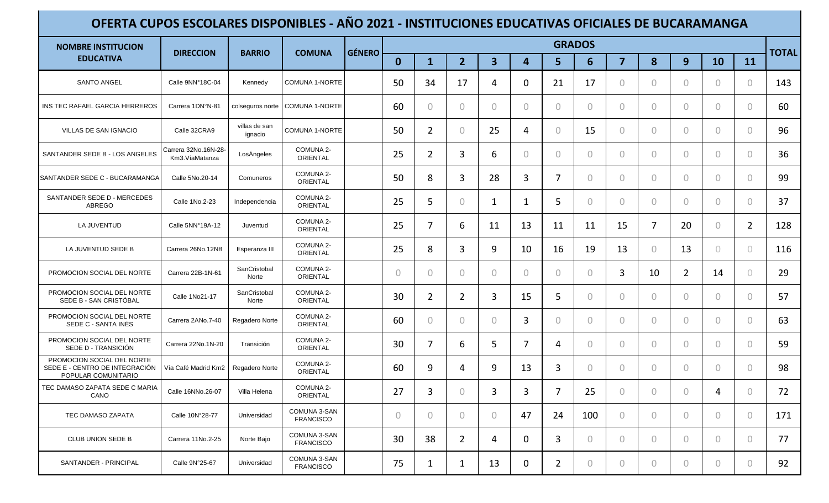| <b>NOMBRE INSTITUCION</b>                                                           | <b>DIRECCION</b>                       | <b>BARRIO</b>            | <b>COMUNA</b>                    | <b>GÉNERO</b> |          |                |                                  |                         |                |                | <b>GRADOS</b>  |                |                |                |                |                | <b>TOTAL</b> |
|-------------------------------------------------------------------------------------|----------------------------------------|--------------------------|----------------------------------|---------------|----------|----------------|----------------------------------|-------------------------|----------------|----------------|----------------|----------------|----------------|----------------|----------------|----------------|--------------|
| <b>EDUCATIVA</b>                                                                    |                                        |                          |                                  |               | $\bf{0}$ | $\mathbf{1}$   | $\overline{2}$                   | $\overline{\mathbf{3}}$ | 4              | 5              | 6              | $\overline{7}$ | 8              | 9              | <b>10</b>      | 11             |              |
| <b>SANTO ANGEL</b>                                                                  | Calle 9NN°18C-04                       | Kennedy                  | <b>COMUNA 1-NORTE</b>            |               | 50       | 34             | 17                               | 4                       | $\mathbf{0}$   | 21             | 17             | $\circ$        | $\overline{0}$ | $\Omega$       | $\circ$        | $\theta$       | 143          |
| INS TEC RAFAEL GARCIA HERREROS                                                      | Carrera 1DN°N-81                       | colseguros norte         | COMUNA 1-NORTE                   |               | 60       | $\circ$        | $\circ$                          | $\circ$                 | $\overline{0}$ | $\bigcap$      | $\overline{0}$ | $\circ$        | $\overline{0}$ | $\bigcirc$     | $\overline{0}$ | $\theta$       | 60           |
| VILLAS DE SAN IGNACIO                                                               | Calle 32CRA9                           | villas de san<br>ignacio | COMUNA 1-NORTE                   |               | 50       | $\overline{2}$ | $\circ$                          | 25                      | 4              | $\bigcap$      | 15             | $\circ$        | $\overline{0}$ | $\overline{0}$ | $\overline{0}$ | $\overline{0}$ | 96           |
| SANTANDER SEDE B - LOS ANGELES                                                      | Carrera 32No.16N-28-<br>Km3.VíaMatanza | LosÁngeles               | COMUNA 2-<br><b>ORIENTAL</b>     |               | 25       | $\overline{2}$ | 3                                | 6                       | $\mathbf{0}$   | $\Omega$       | $\overline{0}$ | $\circ$        | $\circ$        | $\circ$        | $\circ$        | $\circ$        | 36           |
| SANTANDER SEDE C - BUCARAMANGA                                                      | Calle 5No.20-14                        | Comuneros                | COMUNA 2-<br><b>ORIENTAL</b>     |               | 50       | 8              | 3                                | 28                      | 3              | 7              | 0              | $\circ$        | $\overline{0}$ | $\bigcirc$     | $\circ$        | $\circ$        | 99           |
| SANTANDER SEDE D - MERCEDES<br>ABREGO                                               | Calle 1No.2-23                         | Independencia            | COMUNA 2-<br><b>ORIENTAL</b>     |               | 25       | 5              | $\circ$                          | $\mathbf 1$             | $\mathbf 1$    | 5              | $\overline{0}$ | $\circ$        | $\overline{0}$ | $\bigcirc$     | $\circ$        | $\circ$        | 37           |
| LA JUVENTUD                                                                         | Calle 5NN°19A-12                       | Juventud                 | COMUNA 2-<br><b>ORIENTAL</b>     |               | 25       | 7              | 6                                | 11                      | 13             | 11             | 11             | 15             | 7              | 20             | $\circ$        | $\overline{2}$ | 128          |
| LA JUVENTUD SEDE B                                                                  | Carrera 26No.12NB                      | Esperanza III            | COMUNA 2-<br><b>ORIENTAL</b>     |               | 25       | 8              | 3                                | 9                       | 10             | 16             | 19             | 13             | $\circ$        | 13             | $\circ$        | $\overline{0}$ | 116          |
| PROMOCION SOCIAL DEL NORTE                                                          | Carrera 22B-1N-61                      | SanCristobal<br>Norte    | COMUNA 2-<br><b>ORIENTAL</b>     |               | $\circ$  | $\overline{0}$ | $\begin{array}{c} \n\end{array}$ | $\circ$                 | $\bigcirc$     | $\bigcap$      | $\Omega$       | 3              | 10             | $\overline{2}$ | 14             | $\overline{0}$ | 29           |
| PROMOCION SOCIAL DEL NORTE<br>SEDE B - SAN CRISTÓBAL                                | Calle 1No21-17                         | SanCristobal<br>Norte    | COMUNA 2-<br><b>ORIENTAL</b>     |               | 30       | $\overline{2}$ | $\overline{2}$                   | 3                       | 15             | 5.             | 0              | $\circ$        | $\overline{0}$ | $\overline{0}$ | $\circ$        | $\circ$        | 57           |
| PROMOCION SOCIAL DEL NORTE<br>SEDE C - SANTA INÉS                                   | Carrera 2ANo.7-40                      | Regadero Norte           | COMUNA 2-<br>ORIENTAL            |               | 60       | $\overline{0}$ | $\circ$                          | $\circ$                 | 3              | $\Omega$       | 0              | $\circ$        | $\overline{0}$ | $\bigcirc$     | $\circ$        | $\circ$        | 63           |
| PROMOCION SOCIAL DEL NORTE<br>SEDE D - TRANSICIÓN                                   | Carrera 22No.1N-20                     | Transición               | COMUNA 2-<br>ORIENTAL            |               | 30       | $\overline{7}$ | 6                                | 5                       | 7              | 4              | 0              | $\circ$        | $\overline{0}$ | $\bigcirc$     | $\bigcirc$     | $\theta$       | 59           |
| PROMOCION SOCIAL DEL NORTE<br>SEDE E - CENTRO DE INTEGRACIÓN<br>POPULAR COMUNITARIO | Vía Café Madrid Km2                    | Regadero Norte           | COMUNA 2-<br>ORIENTAL            |               | 60       | 9              | 4                                | 9                       | 13             | 3              | 0              | $\circ$        | $\overline{0}$ | $\bigcirc$     | $\circ$        | $\theta$       | 98           |
| TEC DAMASO ZAPATA SEDE C MARIA<br>CANO                                              | Calle 16NNo.26-07                      | Villa Helena             | COMUNA 2-<br><b>ORIENTAL</b>     |               | 27       | 3              | $\circ$                          | 3                       | 3              | 7              | 25             | $\circ$        | $\bigcirc$     | $\bigcap$      | 4              | $\bigcirc$     | 72           |
| TEC DAMASO ZAPATA                                                                   | Calle 10N°28-77                        | Universidad              | COMUNA 3-SAN<br><b>FRANCISCO</b> |               | $\circ$  | $\overline{0}$ | $\circ$                          | $\circ$                 | 47             | 24             | 100            | $\circ$        | $\circ$        | $\circ$        | $\circ$        | $\overline{0}$ | 171          |
| CLUB UNION SEDE B                                                                   | Carrera 11No.2-25                      | Norte Bajo               | COMUNA 3-SAN<br><b>FRANCISCO</b> |               | 30       | 38             | $\overline{2}$                   | 4                       | $\mathbf{0}$   | 3              | $\overline{0}$ | $\circ$        | $\circ$        | $\circ$        | $\circ$        | $\overline{0}$ | 77           |
| SANTANDER - PRINCIPAL                                                               | Calle 9N°25-67                         | Universidad              | COMUNA 3-SAN<br><b>FRANCISCO</b> |               | 75       | $\mathbf{1}$   | $\mathbf{1}$                     | 13                      | $\mathbf 0$    | $\overline{2}$ | $\circ$        | $\circ$        | $\circ$        | $\circ$        | $\circ$        | $\overline{0}$ | 92           |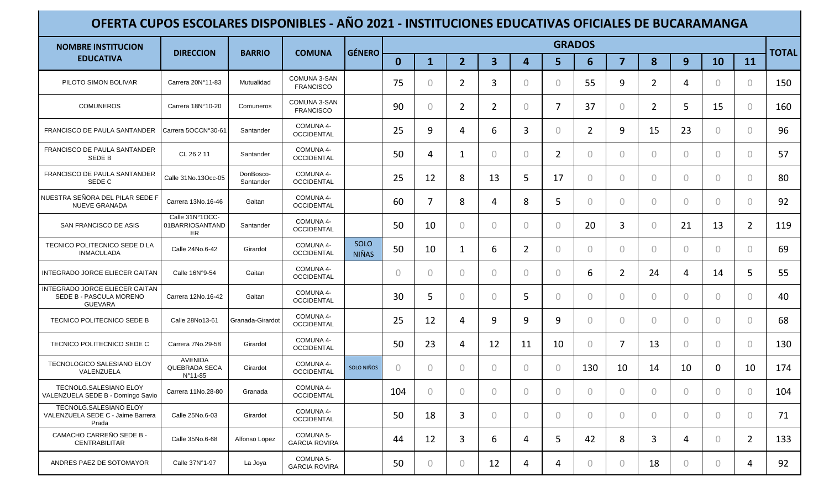| <b>NOMBRE INSTITUCION</b>                                                   |                                                   | <b>BARRIO</b><br><b>COMUNA</b> | <b>GÉNERO</b>                     |                      |                |                |                |                         | <b>GRADOS</b>  |                |                |                |                |                |                | <b>TOTAL</b>   |     |
|-----------------------------------------------------------------------------|---------------------------------------------------|--------------------------------|-----------------------------------|----------------------|----------------|----------------|----------------|-------------------------|----------------|----------------|----------------|----------------|----------------|----------------|----------------|----------------|-----|
| <b>EDUCATIVA</b>                                                            | <b>DIRECCION</b>                                  |                                |                                   |                      | $\mathbf{0}$   | $\mathbf{1}$   | $\overline{2}$ | $\overline{\mathbf{3}}$ | 4              | 5.             | 6              | $\overline{7}$ | 8              | 9              | <b>10</b>      | 11             |     |
| PILOTO SIMON BOLIVAR                                                        | Carrera 20N°11-83                                 | Mutualidad                     | COMUNA 3-SAN<br><b>FRANCISCO</b>  |                      | 75             | $\mathbf{0}$   | $\overline{2}$ | 3                       | $\theta$       | 0              | 55             | 9              | $\overline{2}$ | 4              | $\mathbf{0}$   | $\overline{0}$ | 150 |
| <b>COMUNEROS</b>                                                            | Carrera 18N°10-20                                 | Comuneros                      | COMUNA 3-SAN<br><b>FRANCISCO</b>  |                      | 90             | $\circ$        | $\overline{2}$ | $\overline{2}$          | $\theta$       | 7              | 37             | 0              | $\overline{2}$ | 5              | 15             | $\overline{0}$ | 160 |
| FRANCISCO DE PAULA SANTANDER                                                | Carrera 5OCCN°30-61                               | Santander                      | COMUNA 4-<br><b>OCCIDENTAL</b>    |                      | 25             | 9              | 4              | 6                       | 3              | $\bigcap$      | $\overline{2}$ | 9              | 15             | 23             | $\overline{0}$ | $\overline{0}$ | 96  |
| FRANCISCO DE PAULA SANTANDER<br><b>SEDE B</b>                               | CL 26 2 11                                        | Santander                      | COMUNA 4-<br><b>OCCIDENTAL</b>    |                      | 50             | 4              | 1              | $\circ$                 | $\theta$       | $\overline{2}$ | $\overline{0}$ | $\overline{0}$ | $\circ$        | $\overline{0}$ | $\circ$        | $\overline{0}$ | 57  |
| FRANCISCO DE PAULA SANTANDER<br>SEDE C                                      | Calle 31No.13Occ-05                               | DonBosco-<br>Santander         | COMUNA 4-<br><b>OCCIDENTAL</b>    |                      | 25             | 12             | 8              | 13                      | 5              | 17             | 0              | $\Omega$       | $\circ$        | $\Omega$       | $\circ$        | $\overline{0}$ | 80  |
| NUESTRA SEÑORA DEL PILAR SEDE F<br><b>NUEVE GRANADA</b>                     | Carrera 13No.16-46                                | Gaitan                         | COMUNA 4-<br><b>OCCIDENTAL</b>    |                      | 60             | $\overline{7}$ | 8              | 4                       | 8              | 5              | 0              | $\circ$        | $\circ$        | $\overline{0}$ | $\mathbf{0}$   | $\overline{0}$ | 92  |
| SAN FRANCISCO DE ASIS                                                       | Calle 31N°1OCC-<br>01BARRIOSANTAND<br>ER          | Santander                      | COMUNA 4-<br><b>OCCIDENTAL</b>    |                      | 50             | 10             | $\theta$       | 0                       | $\theta$       | 0              | 20             | 3              | $\circ$        | 21             | 13             | $\overline{2}$ | 119 |
| TECNICO POLITECNICO SEDE D LA<br><b>INMACULADA</b>                          | Calle 24No.6-42                                   | Girardot                       | COMUNA 4-<br><b>OCCIDENTAL</b>    | SOLO<br><b>NIÑAS</b> | 50             | 10             | 1              | 6                       | $\overline{2}$ | $\Omega$       | 0              | $\overline{0}$ | $\overline{0}$ | $\bigcirc$     | $\mathbf{0}$   | $\overline{0}$ | 69  |
| INTEGRADO JORGE ELIECER GAITAN                                              | Calle 16N°9-54                                    | Gaitan                         | COMUNA 4-<br><b>OCCIDENTAL</b>    |                      | $\overline{0}$ | $\circ$        | $\Omega$       | $\circ$                 | $\bigcirc$     | 0              | 6              | $\overline{2}$ | 24             | 4              | 14             | 5              | 55  |
| INTEGRADO JORGE ELIECER GAITAN<br>SEDE B - PASCULA MORENO<br><b>GUEVARA</b> | Carrera 12No.16-42                                | Gaitan                         | COMUNA 4-<br><b>OCCIDENTAL</b>    |                      | 30             | 5              | $\circ$        | $\circ$                 | 5              | $\bigcap$      | 0              | $\overline{0}$ | $\circ$        | $\overline{0}$ | $\circ$        | $\overline{0}$ | 40  |
| TECNICO POLITECNICO SEDE B                                                  | Calle 28No13-61                                   | Granada-Girardot               | COMUNA 4-<br><b>OCCIDENTAL</b>    |                      | 25             | 12             | 4              | 9                       | 9              | 9              | 0              | $\circ$        | $\circ$        | $\overline{0}$ | $\mathbf{0}$   | $\overline{0}$ | 68  |
| TECNICO POLITECNICO SEDE C                                                  | Carrera 7No.29-58                                 | Girardot                       | COMUNA 4-<br>OCCIDENTAL           |                      | 50             | 23             | 4              | 12                      | 11             | 10             | $\Omega$       | 7              | 13             | $\bigcirc$     | $\bigcirc$     | $\overline{0}$ | 130 |
| TECNOLOGICO SALESIANO ELOY<br>VALENZUELA                                    | <b>AVENIDA</b><br><b>QUEBRADA SECA</b><br>N°11-85 | Girardot                       | COMUNA 4-<br><b>OCCIDENTAL</b>    | SOLO NIÑOS           | $\overline{0}$ | $\mathbf{0}$   | $\bigcirc$     | 0                       | $\theta$       | 0              | 130            | 10             | 14             | 10             | $\mathbf 0$    | 10             | 174 |
| TECNOLG.SALESIANO ELOY<br>VALENZUELA SEDE B - Domingo Savio                 | Carrera 11No.28-80                                | Granada                        | COMUNA 4-<br><b>OCCIDENTAL</b>    |                      | 104            | $\bigcirc$     | $\Omega$       | 0                       | $\bigcirc$     | 0              | $\Omega$       | 0              | $\overline{0}$ | $\bigcap$      | $\mathbf{0}$   | $\overline{0}$ | 104 |
| TECNOLG.SALESIANO ELOY<br>VALENZUELA SEDE C - Jaime Barrera<br>Prada        | Calle 25No.6-03                                   | Girardot                       | COMUNA 4-<br><b>OCCIDENTAL</b>    |                      | 50             | 18             | 3              | $\overline{0}$          | $\overline{0}$ | $\overline{0}$ | $\overline{0}$ | $\overline{0}$ | $\circ$        | $\circ$        | $\circ$        | $\overline{O}$ | 71  |
| CAMACHO CARREÑO SEDE B -<br>CENTRABILITAR                                   | Calle 35No.6-68                                   | Alfonso Lopez                  | COMUNA 5-<br><b>GARCIA ROVIRA</b> |                      | 44             | 12             | 3              | 6                       | 4              | 5              | 42             | 8              | 3              | 4              | $\circ$        | 2              | 133 |
| ANDRES PAEZ DE SOTOMAYOR                                                    | Calle 37N°1-97                                    | La Joya                        | COMUNA 5-<br><b>GARCIA ROVIRA</b> |                      | 50             | $\circ$        | $\circ$        | 12                      | 4              | 4              | $\circ$        | $\circ$        | 18             | $\circ$        | $\circ$        | 4              | 92  |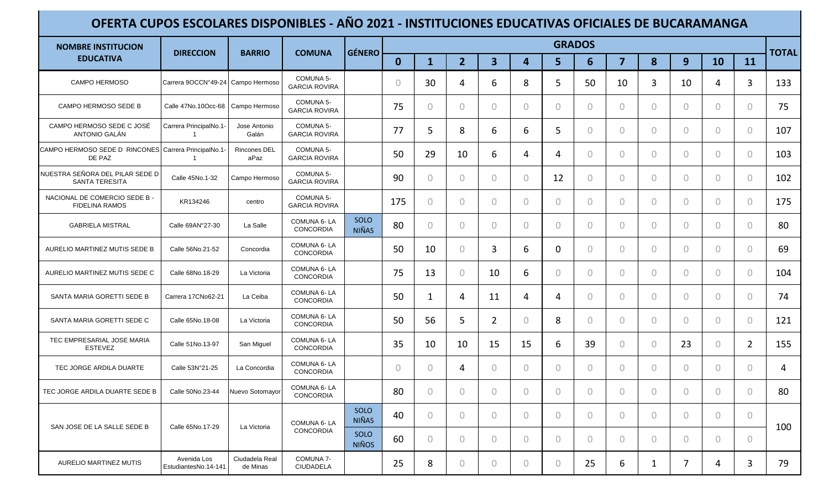| <b>NOMBRE INSTITUCION</b>                                      |                                          | <b>BARRIO</b>               | <b>COMUNA</b>                     | GÉNERO               |                |                |                |                |                | <b>GRADOS</b>  |                |                |                |                |                |                |              |
|----------------------------------------------------------------|------------------------------------------|-----------------------------|-----------------------------------|----------------------|----------------|----------------|----------------|----------------|----------------|----------------|----------------|----------------|----------------|----------------|----------------|----------------|--------------|
| <b>EDUCATIVA</b>                                               | <b>DIRECCION</b>                         |                             |                                   |                      | $\mathbf{0}$   | $\mathbf{1}$   | $\overline{2}$ | 3              | $\overline{4}$ | 5              | 6              | $\overline{7}$ | 8              | 9              | <b>10</b>      | 11             | <b>TOTAL</b> |
| <b>CAMPO HERMOSO</b>                                           | Carrera 9OCCN°49-24 Campo Hermoso        |                             | COMUNA 5-<br><b>GARCIA ROVIRA</b> |                      | $\overline{0}$ | 30             | 4              | 6              | 8              | 5              | 50             | 10             | 3              | 10             | 4              | 3              | 133          |
| CAMPO HERMOSO SEDE B                                           | Calle 47No.10Occ-68                      | Campo Hermoso               | COMUNA 5-<br><b>GARCIA ROVIRA</b> |                      | 75             | $\circ$        | $\overline{0}$ | 0              | $\theta$       | $\bigcap$      | 0              | $\overline{0}$ | $\overline{0}$ | $\bigcirc$     | $\mathbf{0}$   | $\overline{0}$ | 75           |
| CAMPO HERMOSO SEDE C JOSÉ<br>ANTONIO GALÁN                     | Carrera PrincipalNo.1-<br>$\overline{1}$ | Jose Antonio<br>Galán       | COMUNA 5-<br><b>GARCIA ROVIRA</b> |                      | 77             | 5              | 8              | 6              | 6              | 5              | 0              | $\overline{0}$ | $\overline{0}$ | $\bigcirc$     | $\overline{0}$ | $\overline{0}$ | 107          |
| CAMPO HERMOSO SEDE D RINCONES Carrera PrincipalNo.1-<br>DE PAZ |                                          | <b>Rincones DEL</b><br>aPaz | COMUNA 5-<br><b>GARCIA ROVIRA</b> |                      | 50             | 29             | 10             | 6              | 4              | 4              | $\overline{0}$ | $\mathbf{0}$   | $\overline{0}$ | $\overline{0}$ | $\overline{0}$ | $\overline{0}$ | 103          |
| NUESTRA SEÑORA DEL PILAR SEDE D<br><b>SANTA TERESITA</b>       | Calle 45No.1-32                          | Campo Hermoso               | COMUNA 5-<br><b>GARCIA ROVIRA</b> |                      | 90             | $\overline{0}$ | $\circ$        | $\circ$        | $\circ$        | 12             | 0              | $\overline{0}$ | $\overline{0}$ | $\Omega$       | $\overline{0}$ | $\overline{O}$ | 102          |
| NACIONAL DE COMERCIO SEDE B -<br><b>FIDELINA RAMOS</b>         | KR134246                                 | centro                      | COMUNA 5-<br><b>GARCIA ROVIRA</b> |                      | 175            | $\circ$        | $\overline{0}$ | $\circ$        | $\circ$        | 0              | $\overline{0}$ | $\circ$        | $\circ$        | $\overline{0}$ | $\mathbf{0}$   | $\overline{0}$ | 175          |
| <b>GABRIELA MISTRAL</b>                                        | Calle 69AN°27-30                         | La Salle                    | COMUNA 6-LA<br>CONCORDIA          | SOLO<br><b>NIÑAS</b> | 80             | $\overline{0}$ | $\overline{0}$ | $\overline{0}$ | $\theta$       | $\Omega$       | 0              | $\overline{0}$ | $\circ$        | $\overline{0}$ | $\mathbf{0}$   | $\overline{0}$ | 80           |
| AURELIO MARTINEZ MUTIS SEDE B                                  | Calle 56No.21-52                         | Concordia                   | COMUNA 6-LA<br>CONCORDIA          |                      | 50             | 10             | $\circ$        | 3              | 6              | $\mathbf 0$    | 0              | $\Omega$       | $\overline{0}$ | $\Omega$       | $\mathbf{0}$   | $\overline{0}$ | 69           |
| AURELIO MARTINEZ MUTIS SEDE C                                  | Calle 68No.18-29                         | La Victoria                 | COMUNA 6-LA<br>CONCORDIA          |                      | 75             | 13             | $\overline{0}$ | 10             | 6              | 0              | $\Omega$       | $\mathbf{0}$   | $\overline{0}$ | $\bigcap$      | $\mathbf{0}$   | $\overline{0}$ | 104          |
| SANTA MARIA GORETTI SEDE B                                     | Carrera 17CNo62-21                       | La Ceiba                    | COMUNA 6-LA<br>CONCORDIA          |                      | 50             | 1              | 4              | 11             | 4              | 4              | 0              | $\circ$        | $\overline{0}$ | $\overline{0}$ | $\circ$        | $\overline{0}$ | 74           |
| SANTA MARIA GORETTI SEDE C                                     | Calle 65No.18-08                         | La Victoria                 | COMUNA 6-LA<br>CONCORDIA          |                      | 50             | 56             | 5              | $\overline{2}$ | $\overline{0}$ | 8              | 0              | $\overline{0}$ | $\overline{0}$ | $\circ$        | $\circ$        | $\overline{0}$ | 121          |
| TEC EMPRESARIAL JOSE MARIA<br><b>ESTEVEZ</b>                   | Calle 51No.13-97                         | San Miguel                  | COMUNA 6-LA<br>CONCORDIA          |                      | 35             | 10             | 10             | 15             | 15             | 6              | 39             | $\circ$        | $\circ$        | 23             | $\mathbf{0}$   | $\overline{2}$ | 155          |
| TEC JORGE ARDILA DUARTE                                        | Calle 53N°21-25                          | La Concordia                | COMUNA 6-LA<br>CONCORDIA          |                      | $\theta$       | $\overline{0}$ | 4              | $\overline{0}$ | $\theta$       | $\overline{0}$ | 0              | $\overline{0}$ | $\circ$        | $\overline{0}$ | $\mathbf{0}$   | $\theta$       | 4            |
| TEC JORGE ARDILA DUARTE SEDE B                                 | Calle 50No.23-44                         | Nuevo Sotomayor             | COMUNA 6-LA<br>CONCORDIA          |                      | 80             | $\mathbf{0}$   | $\Omega$       | $\Omega$       | $\bigcirc$     | 0              | $\Omega$       | 0              | $\circ$        | $\Omega$       | $\mathbf{0}$   | $\bigcirc$     | 80           |
|                                                                |                                          | La Victoria                 | COMUNA 6-LA                       | SOLO<br><b>NIÑAS</b> | 40             | $\circ$        | $\bigcirc$     | $\circ$        | $\bigcirc$     | $\bigcap$      | $\Omega$       | $\mathbf{0}$   | $\overline{0}$ | $\bigcirc$     | $\mathbf{0}$   | $\overline{0}$ |              |
| SAN JOSE DE LA SALLE SEDE B                                    | Calle 65No.17-29                         |                             | CONCORDIA                         | SOLO<br><b>NIÑOS</b> | 60             | $\circ$        | 0              | $\circ$        | $\theta$       | $\Omega$       | 0              | $\overline{0}$ | $\circ$        | $\Omega$       | $\circ$        | $\bigcirc$     | 100          |
| AURELIO MARTINEZ MUTIS                                         | Avenida Los<br>EstudiantesNo.14-141      | Ciudadela Real<br>de Minas  | COMUNA 7-<br>CIUDADELA            |                      | 25             | 8              | $\circ$        | $\overline{0}$ | $\circ$        | $\circ$        | 25             | 6              | $\mathbf{1}$   | 7              | 4              | 3              | 79           |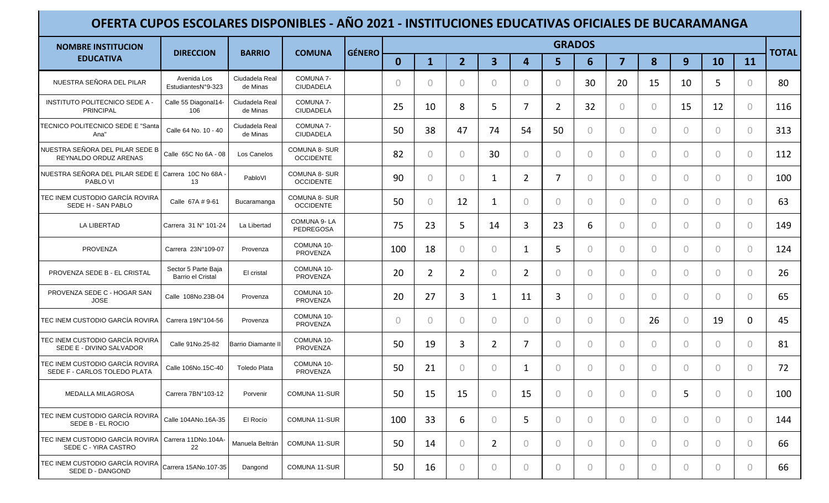| <b>NOMBRE INSTITUCION</b>                                       | <b>DIRECCION</b>                         | <b>BARRIO</b>              | <b>COMUNA</b>                            | <b>GÉNERO</b> |                |                |                |                         |                | <b>GRADOS</b>  |                |                |                |                |                |                | <b>TOTAL</b> |
|-----------------------------------------------------------------|------------------------------------------|----------------------------|------------------------------------------|---------------|----------------|----------------|----------------|-------------------------|----------------|----------------|----------------|----------------|----------------|----------------|----------------|----------------|--------------|
| <b>EDUCATIVA</b>                                                |                                          |                            |                                          |               | $\mathbf{0}$   | $\mathbf{1}$   | $\overline{2}$ | $\overline{\mathbf{3}}$ | 4              | 5              | 6              | $\overline{7}$ | 8              | 9              | 10             | 11             |              |
| NUESTRA SEÑORA DEL PILAR                                        | Avenida Los<br>EstudiantesN°9-323        | Ciudadela Real<br>de Minas | COMUNA 7-<br>CIUDADELA                   |               | $\overline{0}$ | $\circ$        | $\overline{0}$ | $\circ$                 | $\overline{0}$ | $\Omega$       | 30             | 20             | 15             | 10             | 5              | $\theta$       | 80           |
| INSTITUTO POLITECNICO SEDE A -<br><b>PRINCIPAL</b>              | Calle 55 Diagonal14-<br>106              | Ciudadela Real<br>de Minas | COMUNA 7-<br><b>CIUDADELA</b>            |               | 25             | 10             | 8              | 5                       | 7              | $\overline{2}$ | 32             | $\circ$        | $\circ$        | 15             | 12             | $\overline{0}$ | 116          |
| TECNICO POLITECNICO SEDE E "Santa<br>Ana"                       | Calle 64 No. 10 - 40                     | Ciudadela Real<br>de Minas | COMUNA 7-<br>CIUDADELA                   |               | 50             | 38             | 47             | 74                      | 54             | 50             | $\overline{0}$ | $\circ$        | $\overline{0}$ | $\bigcap$      | $\overline{0}$ | $\overline{0}$ | 313          |
| NUESTRA SEÑORA DEL PILAR SEDE B<br>REYNALDO ORDUZ ARENAS        | Calle 65C No 6A - 08                     | Los Canelos                | <b>COMUNA 8- SUR</b><br><b>OCCIDENTE</b> |               | 82             | $\overline{0}$ | $\circ$        | 30                      | $\circ$        | $\Omega$       | $\overline{0}$ | $\circ$        | $\circ$        | $\bigcirc$     | $\circ$        | $\theta$       | 112          |
| NUESTRA SEÑORA DEL PILAR SEDE E Carrera 10C No 68A<br>PABLO VI  | 13                                       | PabloVI                    | <b>COMUNA 8- SUR</b><br><b>OCCIDENTE</b> |               | 90             | $\overline{0}$ | $\circ$        | 1                       | $\overline{2}$ | 7              | $\overline{0}$ | $\circ$        | $\circ$        | $\overline{0}$ | $\Omega$       | $\overline{0}$ | 100          |
| TEC INEM CUSTODIO GARCÍA ROVIRA<br>SEDE H - SAN PABLO           | Calle 67A # 9-61                         | Bucaramanga                | <b>COMUNA 8- SUR</b><br><b>OCCIDENTE</b> |               | 50             | $\overline{0}$ | 12             | $\mathbf{1}$            | $\overline{0}$ | $\bigcap$      | $\overline{0}$ | $\circ$        | $\overline{0}$ | $\bigcirc$     | $\circ$        | $\theta$       | 63           |
| <b>LA LIBERTAD</b>                                              | Carrera 31 Nº 101-24                     | La Libertad                | COMUNA 9-LA<br>PEDREGOSA                 |               | 75             | 23             | 5              | 14                      | 3              | 23             | 6              | $\circ$        | $\overline{0}$ | $\bigcirc$     | $\bigcirc$     | $\theta$       | 149          |
| PROVENZA                                                        | Carrera 23N°109-07                       | Provenza                   | COMUNA 10-<br>PROVENZA                   |               | 100            | 18             | $\circ$        | $\circ$                 | 1              | 5              | $\circ$        | $\circ$        | $\circ$        | $\overline{0}$ | $\overline{0}$ | $\overline{0}$ | 124          |
| PROVENZA SEDE B - EL CRISTAL                                    | Sector 5 Parte Baja<br>Barrio el Cristal | El cristal                 | COMUNA 10-<br>PROVENZA                   |               | 20             | $\overline{2}$ | $\overline{2}$ | $\circ$                 | $\overline{2}$ | $\bigcap$      | $\Omega$       | $\circ$        | $\overline{0}$ | $\overline{0}$ | $\overline{0}$ | $\bigcirc$     | 26           |
| PROVENZA SEDE C - HOGAR SAN<br><b>JOSE</b>                      | Calle 108No.23B-04                       | Provenza                   | COMUNA 10-<br><b>PROVENZA</b>            |               | 20             | 27             | 3              | 1                       | 11             | 3              | 0              | $\circ$        | $\circ$        | $\overline{0}$ | $\circ$        | $\Omega$       | 65           |
| TEC INEM CUSTODIO GARCÍA ROVIRA                                 | Carrera 19N°104-56                       | Provenza                   | COMUNA 10-<br><b>PROVENZA</b>            |               | $\overline{0}$ | $\circ$        | $\circ$        | $\circ$                 | $\mathbf{0}$   | $\Omega$       | $\overline{0}$ | $\circ$        | 26             | $\circ$        | 19             | $\mathbf 0$    | 45           |
| TEC INEM CUSTODIO GARCÍA ROVIRA<br>SEDE E - DIVINO SALVADOR     | Calle 91No.25-82                         | <b>Barrio Diamante II</b>  | COMUNA 10-<br>PROVENZA                   |               | 50             | 19             | 3              | 2                       | 7              | $\bigcap$      | $\Omega$       | $\bigcirc$     | $\bigcirc$     | $\bigcirc$     | $\bigcirc$     | $\bigcirc$     | 81           |
| TEC INEM CUSTODIO GARCÍA ROVIRA<br>SEDE F - CARLOS TOLEDO PLATA | Calle 106No.15C-40                       | <b>Toledo Plata</b>        | COMUNA 10-<br>PROVENZA                   |               | 50             | 21             | $\circ$        | $\theta$                | 1              | $\Omega$       | 0              | $\circ$        | $\overline{0}$ | $\bigcirc$     | $\circ$        | $\theta$       | 72           |
| <b>MEDALLA MILAGROSA</b>                                        | Carrera 7BN°103-12                       | Porvenir                   | COMUNA 11-SUR                            |               | 50             | 15             | 15             | $\circ$                 | 15             | $\bigcap$      | 0              | $\Omega$       | $\Omega$       | 5              | $\Omega$       | $\bigcirc$     | 100          |
| TEC INEM CUSTODIO GARCÍA ROVIRA<br>SEDE B - EL ROCIO            | Calle 104ANo.16A-35                      | El Rocío                   | COMUNA 11-SUR                            |               | 100            | 33             | 6              | $\circ$                 | 5              | $\overline{0}$ | $\overline{O}$ | $\circ$        | $\circ$        | $\circ$        | $\circ$        | $\bigcirc$     | 144          |
| TEC INEM CUSTODIO GARCÍA ROVIRA<br>SEDE C - YIRA CASTRO         | Carrera 11DNo.104A-<br>22                | Manuela Beltrán            | COMUNA 11-SUR                            |               | 50             | 14             | $\circ$        | $\overline{2}$          | $\circ$        | $\overline{0}$ | $\circ$        | $\circ$        | $\circ$        | $\overline{0}$ | $\circ$        | $\circ$        | 66           |
| TEC INEM CUSTODIO GARCÍA ROVIRA<br>SEDE D - DANGOND             | Carrera 15ANo.107-35                     | Dangond                    | COMUNA 11-SUR                            |               | 50             | 16             | $\overline{0}$ | $\circ$                 | $\overline{0}$ | $\overline{0}$ | 0              | $\circ$        | $\circ$        | $\overline{0}$ | $\circ$        | $\overline{0}$ | 66           |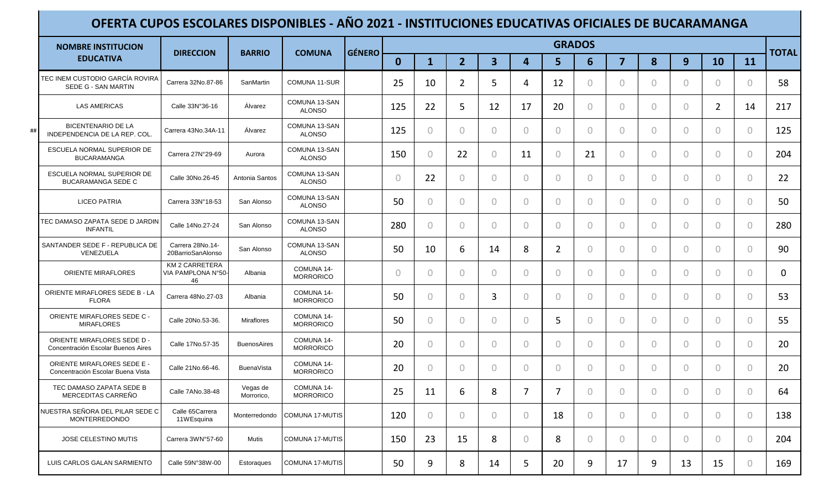| <b>NOMBRE INSTITUCION</b>                                               | <b>DIRECCION</b>                           | <b>BARRIO</b>          | <b>COMUNA</b>                  | <b>GÉNERO</b> |            |                |                |                |                | <b>GRADOS</b>  |                |                |                |                |                |                | <b>TOTAL</b> |
|-------------------------------------------------------------------------|--------------------------------------------|------------------------|--------------------------------|---------------|------------|----------------|----------------|----------------|----------------|----------------|----------------|----------------|----------------|----------------|----------------|----------------|--------------|
| <b>EDUCATIVA</b>                                                        |                                            |                        |                                |               | $\bf{0}$   | $\mathbf 1$    | 2 <sup>1</sup> | $\mathbf{3}$   | 4              | 5 <sup>1</sup> | 6              | $\overline{7}$ | 8              | 9              | 10             | 11             |              |
| TEC INEM CUSTODIO GARCÍA ROVIRA<br>SEDE G - SAN MARTIN                  | Carrera 32No.87-86                         | SanMartin              | <b>COMUNA 11-SUR</b>           |               | 25         | 10             | $\overline{2}$ | 5              | 4              | 12             | $\circ$        | $\Omega$       | $\Omega$       | $\Omega$       | $\theta$       | $\overline{0}$ | 58           |
| <b>LAS AMERICAS</b>                                                     | Calle 33N°36-16                            | Álvarez                | COMUNA 13-SAN<br><b>ALONSO</b> |               | 125        | 22             | 5              | 12             | 17             | 20             | $\overline{0}$ | $\overline{0}$ | $\Omega$       | $\circ$        | $\overline{2}$ | 14             | 217          |
| <b>BICENTENARIO DE LA</b><br>INDEPENDENCIA DE LA REP. COL.              | Carrera 43No.34A-11                        | Álvarez                | COMUNA 13-SAN<br><b>ALONSO</b> |               | 125        | $\overline{0}$ | $\bigcap$      | $\bigcap$      | $\Omega$       | $\overline{0}$ | $\overline{0}$ | $\overline{0}$ | $\overline{0}$ | 0              | $\circ$        | $\overline{0}$ | 125          |
| ESCUELA NORMAL SUPERIOR DE<br><b>BUCARAMANGA</b>                        | Carrera 27N°29-69                          | Aurora                 | COMUNA 13-SAN<br><b>ALONSO</b> |               | 150        | $\theta$       | 22             | $\Omega$       | 11             | $\circ$        | 21             | $\circ$        | $\overline{0}$ | 0              | $\overline{0}$ | $\overline{0}$ | 204          |
| ESCUELA NORMAL SUPERIOR DE<br><b>BUCARAMANGA SEDE C</b>                 | Calle 30No.26-45                           | Antonia Santos         | COMUNA 13-SAN<br><b>ALONSO</b> |               | $\bigcirc$ | 22             | $\Omega$       | $\Omega$       | $\Omega$       | $\overline{0}$ | $\overline{0}$ | $\bigcirc$     | $\Omega$       | $\overline{0}$ | $\overline{0}$ | $\overline{0}$ | 22           |
| LICEO PATRIA                                                            | Carrera 33N°18-53                          | San Alonso             | COMUNA 13-SAN<br><b>ALONSO</b> |               | 50         | $\theta$       | $\overline{0}$ | $\Omega$       | 0              | $\overline{0}$ | $\circ$        | $\bigcirc$     | $\overline{0}$ | 0              | $\circ$        | $\overline{0}$ | 50           |
| TEC DAMASO ZAPATA SEDE D JARDIN<br><b>INFANTIL</b>                      | Calle 14No.27-24                           | San Alonso             | COMUNA 13-SAN<br><b>ALONSO</b> |               | 280        | $\theta$       | $\Omega$       | $\Omega$       | 0              | $\Omega$       | $\circ$        | $\Omega$       | $\bigcirc$     | $\Omega$       | $\overline{0}$ | $\overline{0}$ | 280          |
| SANTANDER SEDE F - REPUBLICA DE<br>VENEZUELA                            | Carrera 28No.14-<br>20BarrioSanAlonso      | San Alonso             | COMUNA 13-SAN<br><b>ALONSO</b> |               | 50         | 10             | 6              | 14             | 8              | $\overline{2}$ | $\overline{0}$ | $\overline{0}$ | $\Omega$       | $\bigcirc$     | $\circ$        | $\overline{0}$ | 90           |
| <b>ORIENTE MIRAFLORES</b>                                               | KM 2 CARRETERA<br>VIA PAMPLONA N°50-<br>46 | Albania                | COMUNA 14-<br><b>MORRORICO</b> |               | $\bigcirc$ | $\bigcirc$     | $\bigcap$      | $\bigcap$      | $\bigcirc$     | $\Omega$       | $\overline{0}$ | $\overline{0}$ | $\Omega$       | $\Omega$       | $\overline{0}$ | $\bigcirc$     | 0            |
| ORIENTE MIRAFLORES SEDE B - LA<br><b>FLORA</b>                          | Carrera 48No.27-03                         | Albania                | COMUNA 14-<br><b>MORRORICO</b> |               | 50         | $\bigcirc$     | $\Omega$       | 3              | $\Omega$       | $\Omega$       | $\overline{0}$ | $\overline{0}$ | $\Omega$       | $\Omega$       | $\Omega$       | $\bigcirc$     | 53           |
| <b>ORIENTE MIRAFLORES SEDE C -</b><br><b>MIRAFLORES</b>                 | Calle 20No.53-36.                          | <b>Miraflores</b>      | COMUNA 14-<br><b>MORRORICO</b> |               | 50         | $\theta$       | $\Omega$       | $\Omega$       | 0              | 5              | $\circ$        | $\bigcirc$     | $\overline{0}$ | 0              | $\circ$        | $\overline{0}$ | 55           |
| ORIENTE MIRAFLORES SEDE D -<br>Concentración Escolar Buenos Aires       | Calle 17No.57-35                           | <b>BuenosAires</b>     | COMUNA 14-<br><b>MORRORICO</b> |               | 20         | $\bigcirc$     | $\bigcap$      | $\Omega$       | 0              | $\Omega$       | $\Omega$       | $\bigcirc$     | $\Omega$       | $\Omega$       | $\bigcirc$     | $\bigcirc$     | 20           |
| <b>ORIENTE MIRAFLORES SEDE E -</b><br>Concentración Escolar Buena Vista | Calle 21No.66-46.                          | <b>BuenaVista</b>      | COMUNA 14-<br><b>MORRORICO</b> |               | 20         | $\theta$       | $\overline{0}$ | $\Omega$       | 0              | $\Omega$       | $\overline{0}$ | $\bigcirc$     | $\Omega$       | $\circ$        | $\circ$        | $\overline{0}$ | 20           |
| TEC DAMASO ZAPATA SEDE B<br>MERCEDITAS CARREÑO                          | Calle 7ANo.38-48                           | Vegas de<br>Morrorico, | COMUNA 14-<br><b>MORRORICO</b> |               | 25         | 11             | 6              | 8              | $\overline{7}$ | 7              | $\overline{0}$ | $\bigcirc$     | $\Omega$       | $\Omega$       | $\bigcirc$     | $\bigcirc$     | 64           |
| NUESTRA SEÑORA DEL PILAR SEDE C<br>MONTERREDONDO                        | Calle 65Carrera<br>11WEsquina              | Monterredondo          | COMUNA 17-MUTIS                |               | 120        | $\circ$        | $\circ$        | $\overline{0}$ | $\circ$        | 18             | $\circ$        | $\circ$        | $\overline{0}$ | $\overline{0}$ | $\circ$        | $\circ$        | 138          |
| JOSE CELESTINO MUTIS                                                    | Carrera 3WN°57-60                          | Mutis                  | COMUNA 17-MUTIS                |               | 150        | 23             | 15             | 8              | $\circ$        | 8              | $\circ$        | $\overline{0}$ | $\circ$        | $\circ$        | $\circ$        | $\overline{0}$ | 204          |
| LUIS CARLOS GALAN SARMIENTO                                             | Calle 59N°38W-00                           | Estoraques             | COMUNA 17-MUTIS                |               | 50         | 9              | 8              | 14             | 5              | 20             | 9              | 17             | 9              | 13             | 15             | $\circ$        | 169          |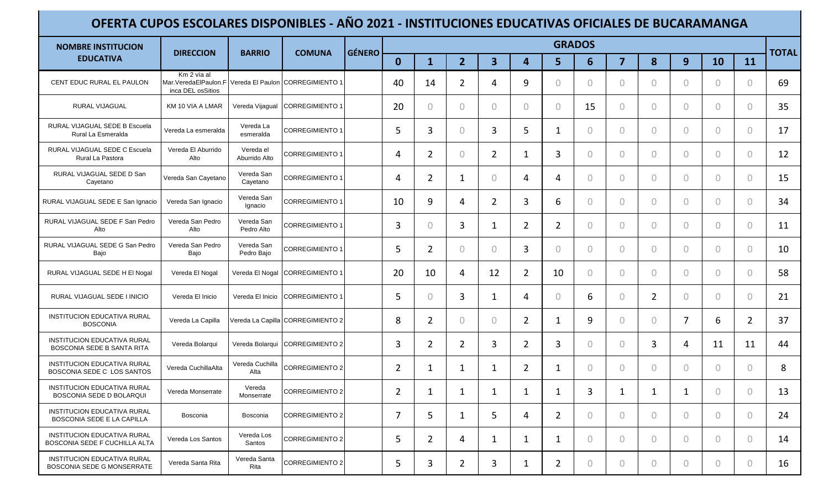| <b>NOMBRE INSTITUCION</b>                                        | <b>DIRECCION</b>                                                                          | <b>BARRIO</b>              | <b>COMUNA</b>                     | <b>GÉNERO</b> |                |                |                |                         |                |                | <b>GRADOS</b>  |                |                |                |            |                | <b>TOTAL</b> |
|------------------------------------------------------------------|-------------------------------------------------------------------------------------------|----------------------------|-----------------------------------|---------------|----------------|----------------|----------------|-------------------------|----------------|----------------|----------------|----------------|----------------|----------------|------------|----------------|--------------|
| <b>EDUCATIVA</b>                                                 |                                                                                           |                            |                                   |               | $\mathbf{0}$   | $\mathbf{1}$   | $\overline{2}$ | $\overline{\mathbf{3}}$ | 4              | 5              | $6\phantom{1}$ | $\overline{7}$ | 8              | 9              | 10         | 11             |              |
| CENT EDUC RURAL EL PAULON                                        | Km 2 vía al<br>Mar.VeredaElPaulon.F Vereda El Paulon CORREGIMIENTO 1<br>inca DEL osSitios |                            |                                   |               | 40             | 14             | $\overline{2}$ | 4                       | 9              | $\bigcap$      | 0              | $\overline{0}$ | $\overline{0}$ | $\Omega$       | $\circ$    | $\circ$        | 69           |
| RURAL VIJAGUAL                                                   | KM 10 VIA A LMAR                                                                          | Vereda Vijagual            | CORREGIMIENTO 1                   |               | 20             | $\circ$        | 0              | $\circ$                 | $\theta$       | $\bigcap$      | 15             | $\circ$        | $\circ$        | $\Omega$       | $\circ$    | $\theta$       | 35           |
| RURAL VIJAGUAL SEDE B Escuela<br>Rural La Esmeralda              | Vereda La esmeralda                                                                       | Vereda La<br>esmeralda     | <b>CORREGIMIENTO 1</b>            |               | 5              | 3              | $\circ$        | 3                       | 5              | 1              | 0              | $\circ$        | $\circ$        | $\overline{0}$ | $\Omega$   | $\circ$        | 17           |
| RURAL VIJAGUAL SEDE C Escuela<br>Rural La Pastora                | Vereda El Aburrido<br>Alto                                                                | Vereda el<br>Aburrido Alto | <b>CORREGIMIENTO 1</b>            |               | 4              | $\overline{2}$ | $\overline{0}$ | $\overline{2}$          | 1              | 3              | 0              | $\circ$        | $\overline{0}$ | $\overline{0}$ | $\circ$    | $\circ$        | 12           |
| RURAL VIJAGUAL SEDE D San<br>Cayetano                            | Vereda San Cayetano                                                                       | Vereda San<br>Cayetano     | <b>CORREGIMIENTO 1</b>            |               | 4              | $\overline{2}$ | 1              | $\circ$                 | 4              | 4              | 0              | $\overline{0}$ | $\circ$        | $\overline{0}$ | $\Omega$   | $\circ$        | 15           |
| RURAL VIJAGUAL SEDE E San Ignacio                                | Vereda San Ignacio                                                                        | Vereda San<br>Ignacio      | <b>CORREGIMIENTO 1</b>            |               | 10             | 9              | 4              | $\overline{2}$          | 3              | 6              | 0              | $\circ$        | $\circ$        | $\overline{0}$ | $\circ$    | $\theta$       | 34           |
| RURAL VIJAGUAL SEDE F San Pedro<br>Alto                          | Vereda San Pedro<br>Alto                                                                  | Vereda San<br>Pedro Alto   | <b>ICORREGIMIENTO 1</b>           |               | 3              | $\circ$        | 3              | $\mathbf{1}$            | 2              | $\overline{2}$ | 0              | $\mathbf{0}$   | $\overline{0}$ | $\Omega$       | $\bigcirc$ | $\theta$       | 11           |
| RURAL VIJAGUAL SEDE G San Pedro<br>Bajo                          | Vereda San Pedro<br>Bajo                                                                  | Vereda San<br>Pedro Bajo   | <b>CORREGIMIENTO 1</b>            |               | 5              | $\overline{2}$ | $\Omega$       | $\bigcirc$              | 3              | $\bigcap$      | 0              | $\overline{0}$ | $\overline{0}$ | $\Omega$       | $\Omega$   | $\circ$        | 10           |
| RURAL VIJAGUAL SEDE H EI Nogal                                   | Vereda El Nogal                                                                           |                            | Vereda El Nogal CORREGIMIENTO 1   |               | 20             | 10             | 4              | 12                      | $\overline{2}$ | 10             | $\Omega$       | $\circ$        | $\overline{0}$ | $\Omega$       | $\Omega$   | $\theta$       | 58           |
| RURAL VIJAGUAL SEDE I INICIO                                     | Vereda El Inicio                                                                          |                            | Vereda El Inicio CORREGIMIENTO 1  |               | 5              | $\overline{0}$ | 3              | 1                       | 4              | $\bigcap$      | 6              | $\overline{0}$ | $\overline{2}$ | $\overline{0}$ | $\Omega$   | $\circ$        | 21           |
| INSTITUCION EDUCATIVA RURAL<br><b>BOSCONIA</b>                   | Vereda La Capilla                                                                         |                            | Vereda La Capilla CORREGIMIENTO 2 |               | 8              | $\overline{2}$ | $\circ$        | $\circ$                 | $\overline{2}$ | 1              | 9              | $\circ$        | $\circ$        | 7              | 6          | $\overline{2}$ | 37           |
| <b>INSTITUCION EDUCATIVA RURAL</b><br>BOSCONIA SEDE B SANTA RITA | Vereda Bolarqui                                                                           |                            | Vereda Bolarqui CORREGIMIENTO 2   |               | 3              | $\overline{2}$ | $\overline{2}$ | 3                       | $\overline{2}$ | 3              | $\Omega$       | $\circ$        | 3              | 4              | 11         | 11             | 44           |
| <b>INSTITUCION EDUCATIVA RURAL</b><br>BOSCONIA SEDE C LOS SANTOS | Vereda CuchillaAlta                                                                       | Vereda Cuchilla<br>Alta    | <b>CORREGIMIENTO 2</b>            |               | $\overline{2}$ | 1              | 1              | 1                       | $\overline{2}$ | 1              | 0              | $\mathbf{0}$   | $\overline{0}$ | $\overline{0}$ | $\circ$    | $\circ$        | 8            |
| <b>INSTITUCION EDUCATIVA RURAL</b><br>BOSCONIA SEDE D BOLARQUI   | Vereda Monserrate                                                                         | Vereda<br>Monserrate       | CORREGIMIENTO 2                   |               | $\overline{2}$ | 1              | 1              | 1                       | 1              | 1              | 3              | 1              | 1              | 1              | $\Omega$   | $\circ$        | 13           |
| <b>INSTITUCION EDUCATIVA RURAL</b><br>BOSCONIA SEDE E LA CAPILLA | Bosconia                                                                                  | Bosconia                   | CORREGIMIENTO 2                   |               | 7              | 5              | $\mathbf{1}$   | 5                       | 4              | $\overline{2}$ | $\circ$        | $\mathbf{0}$   | $\circ$        | $\overline{0}$ | $\circ$    | $\overline{0}$ | 24           |
| INSTITUCION EDUCATIVA RURAL<br>BOSCONIA SEDE F CUCHILLA ALTA     | Vereda Los Santos                                                                         | Vereda Los<br>Santos       | <b>CORREGIMIENTO 2</b>            |               | 5              | $\overline{2}$ | 4              | 1                       | 1              | 1              | 0              | $\overline{0}$ | $\circ$        | $\overline{0}$ | $\circ$    | $\circ$        | 14           |
| <b>INSTITUCION EDUCATIVA RURAL</b><br>BOSCONIA SEDE G MONSERRATE | Vereda Santa Rita                                                                         | Vereda Santa<br>Rita       | <b>CORREGIMIENTO 2</b>            |               | 5              | 3              | $\overline{2}$ | 3                       | $\mathbf 1$    | $\overline{2}$ | 0              | $\circ$        | $\circ$        | $\circ$        | $\circ$    | $\circ$        | 16           |